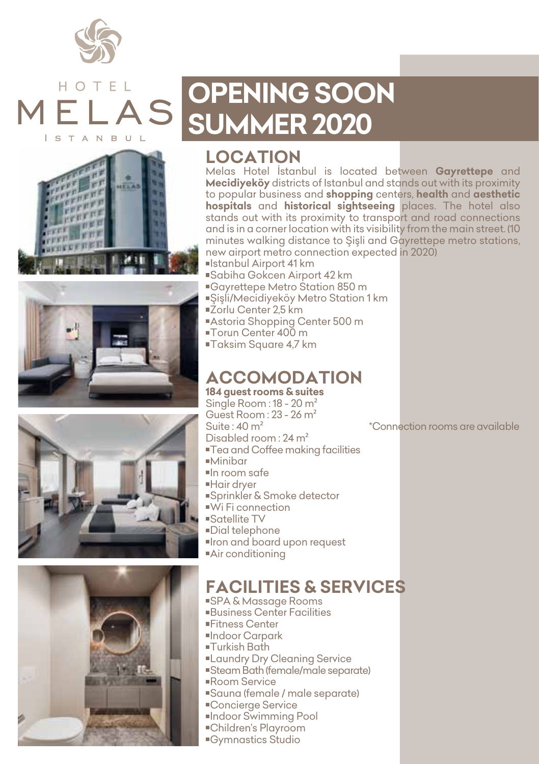

## HOTFI S T A N B U



# **OPENING SOON SUMMER 2020**

#### **LOCATION**

Melas Hotel İstanbul is located between **Gayrettepe** and **Mecidiyeköy** districts of Istanbul and stands out with its proximity to popular business and **shopping** centers, **health** and **aesthetic hospitals** and **historical sightseeing** places. The hotel also stands out with its proximity to transport and road connections and is in a corner location with its visibility from the main street. (10 minutes walking distance to Sisli and Gayrettepe metro stations, new airport metro connection expected in 2020) Istanbul Airport 41 km

- Sabiha Gokcen Airport 42 km
- Gayrettepe Metro Station 850 m
- Şişli/Mecidiyeköy Metro Station 1 km
- ■Žorlu Center 2.5 km
- Astoria Shopping Center 500 m
- ■Torun Center 400 m
- Taksim Square 4,7 km

#### **ACCOMODATION**

**184 guest rooms & suites** Single Room : 18 - 20 m² Guest Room : 23 - 26 m<sup>2</sup><br>Suite : 40 m<sup>2</sup> Disabled room : 24 m² Tea and Coffee making facilities Minibar In room safe Hair dryer ■Sprinkler & Smoke detector Wi Fi connection Satellite TV Dial telephone Iron and board upon request Air conditioning



### **FACILITIES & SERVICES**

 SPA & Massage Rooms Business Center Facilities Fitness Center Indoor Carpark Turkish Bath **Laundry Dry Cleaning Service**  Steam Bath (female/male separate) Room Service Sauna (female / male separate) ■Concierge Service Indoor Swimming Pool Children's Playroom Gymnastics Studio

\*Connection rooms are available